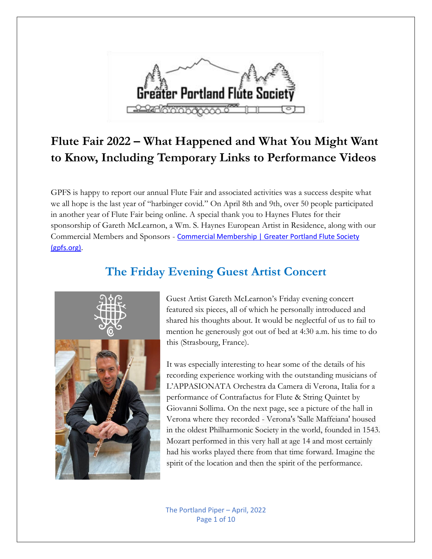

# **Flute Fair 2022 – What Happened and What You Might Want to Know, Including Temporary Links to Performance Videos**

GPFS is happy to report our annual Flute Fair and associated activities was a success despite what we all hope is the last year of "harbinger covid." On April 8th and 9th, over 50 people participated in another year of Flute Fair being online. A special thank you to Haynes Flutes for their sponsorship of Gareth McLearnon, a Wm. S. Haynes European Artist in Residence, along with our Commercial Members and Sponsors - Commercial Membership | Greater Portland Flute Society [\(gpfs.org\).](https://gpfs.org/Commercial-Membership)

## **The Friday Evening Guest Artist Concert**



Guest Artist Gareth McLearnon's Friday evening concert featured six pieces, all of which he personally introduced and shared his thoughts about. It would be neglectful of us to fail to mention he generously got out of bed at 4:30 a.m. his time to do this (Strasbourg, France).

It was especially interesting to hear some of the details of his recording experience working with the outstanding musicians of L'APPASIONATA Orchestra da Camera di Verona, Italia for a performance of Contrafactus for Flute & String Quintet by Giovanni Sollima. On the next page, see a picture of the hall in Verona where they recorded - Verona's 'Salle Maffeiana' housed in the oldest Philharmonic Society in the world, founded in 1543. Mozart performed in this very hall at age 14 and most certainly had his works played there from that time forward. Imagine the spirit of the location and then the spirit of the performance.

The Portland Piper – April, 2022 Page 1 of 10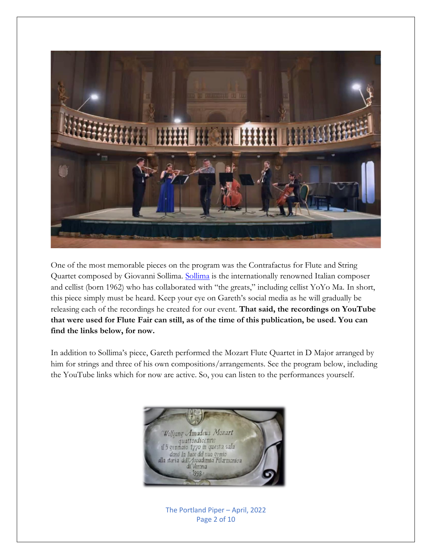

One of the most memorable pieces on the program was the Contrafactus for Flute and String Quartet composed by Giovanni [Sollima](https://www.giovannisollima.org/). Sollima is the internationally renowned Italian composer and cellist (born 1962) who has collaborated with "the greats," including cellist YoYo Ma. In short, this piece simply must be heard. Keep your eye on Gareth's social media as he will gradually be releasing each of the recordings he created for our event. **That said, the recordings on YouTube that were used for Flute Fair can still, as of the time of this publication, be used. You can find the links below, for now.**

In addition to Sollima's piece, Gareth performed the Mozart Flute Quartet in D Major arranged by him for strings and three of his own compositions/arrangements. See the program below, including the YouTube links which for now are active. So, you can listen to the performances yourself.



The Portland Piper – April, 2022 Page 2 of 10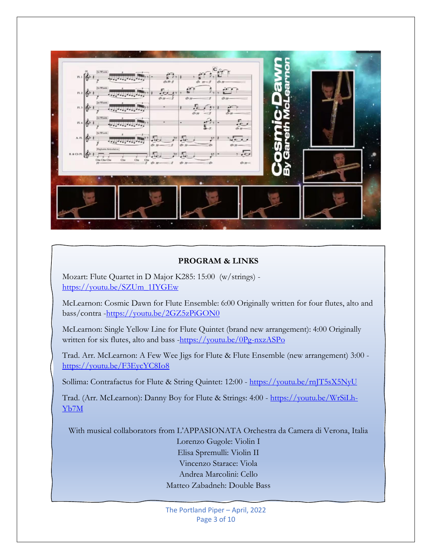#### **PROGRAM & LINKS**

Mozart: Flute Quartet in D Major K285: 15:00 (w/strings) [https://youtu.be/SZUm\\_1IYGEw](https://youtu.be/SZUm_1IYGEw)

McLearnon: Cosmic Dawn for Flute Ensemble: 6:00 Originally written for four flutes, alto and bass/contra [-https://youtu.be/2GZ5zPiGON0](https://youtu.be/2GZ5zPiGON0)

McLearnon: Single Yellow Line for Flute Quintet (brand new arrangement): 4:00 Originally written for six flutes, alto and bass [-https://youtu.be/0Pg-nxzASPo](https://youtu.be/0Pg-nxzASPo)

Trad. Arr. McLearnon: A Few Wee Jigs for Flute & Flute Ensemble (new arrangement) 3:00 <https://youtu.be/F3EycYC8Io8>

Sollima: Contrafactus for Flute & String Quintet: 12:00 - <https://youtu.be/rnJT5sX5NyU>

Trad. (Arr. McLearnon): Danny Boy for Flute & Strings: 4:00 - [https://youtu.be/WrSiLh-](https://youtu.be/WrSiLh-Yb7M)[Yb7M](https://youtu.be/WrSiLh-Yb7M)

With musical collaborators from L'APPASIONATA Orchestra da Camera di Verona, Italia

Lorenzo Gugole: Violin I Elisa Spremulli: Violin II Vincenzo Starace: Viola Andrea Marcolini: Cello Matteo Zabadneh: Double Bass

The Portland Piper – April, 2022 Page 3 of 10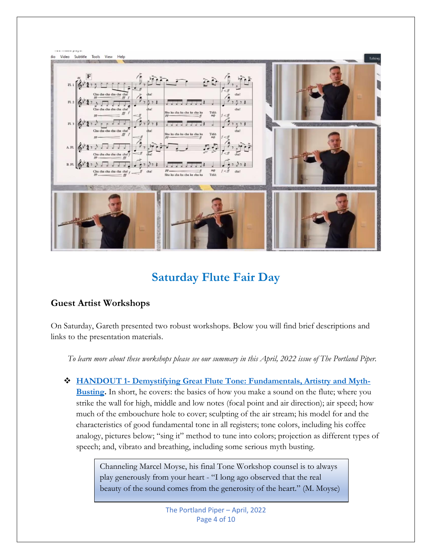

## **Saturday Flute Fair Day**

### **Guest Artist Workshops**

On Saturday, Gareth presented two robust workshops. Below you will find brief descriptions and links to the presentation materials.

*To learn more about these workshops please see our summary in this April, 2022 issue of The Portland Piper.*

❖ **HANDOUT 1- [Demystifying Great Flute Tone: Fundamentals, Artistry and Myth-](https://static1.squarespace.com/static/5caf2f51ab1a622a37ccc279/t/6047ecd8681a9d7cafb8db88/1615326428148/Demystifying+Great+Flute+Tone+2021.pdf)[Busting.](https://static1.squarespace.com/static/5caf2f51ab1a622a37ccc279/t/6047ecd8681a9d7cafb8db88/1615326428148/Demystifying+Great+Flute+Tone+2021.pdf)** In short, he covers: the basics of how you make a sound on the flute; where you strike the wall for high, middle and low notes (focal point and air direction); air speed; how much of the embouchure hole to cover; sculpting of the air stream; his model for and the characteristics of good fundamental tone in all registers; tone colors, including his coffee analogy, pictures below; "sing it" method to tune into colors; projection as different types of speech; and, vibrato and breathing, including some serious myth busting.

> Channeling Marcel Moyse, his final Tone Workshop counsel is to always play generously from your heart - "I long ago observed that the real beauty of the sound comes from the generosity of the heart." (M. Moyse)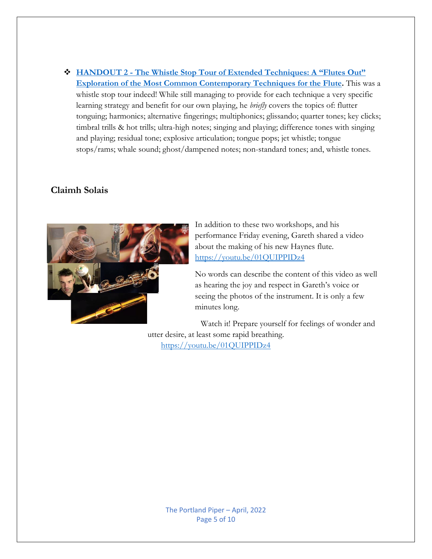❖ **HANDOUT 2 - [The Whistle Stop Tour of Extended Techniques: A "Flutes Out"](https://static1.squarespace.com/static/5caf2f51ab1a622a37ccc279/t/5ea7fff75ce2226efcc57933/1588068362023/The+Whistle+Stop+Tour+of+Extended+Techniques.pdf)  [Exploration of the Most Common Contemporary Techniques for the Flute.](https://static1.squarespace.com/static/5caf2f51ab1a622a37ccc279/t/5ea7fff75ce2226efcc57933/1588068362023/The+Whistle+Stop+Tour+of+Extended+Techniques.pdf)** This was a whistle stop tour indeed! While still managing to provide for each technique a very specific learning strategy and benefit for our own playing, he *briefly* covers the topics of: flutter tonguing; harmonics; alternative fingerings; multiphonics; glissando; quarter tones; key clicks; timbral trills & hot trills; ultra-high notes; singing and playing; difference tones with singing and playing; residual tone; explosive articulation; tongue pops; jet whistle; tongue stops/rams; whale sound; ghost/dampened notes; non-standard tones; and, whistle tones.

### **Claimh Solais**



In addition to these two workshops, and his performance Friday evening, Gareth shared a video about the making of his new Haynes flute. <https://youtu.be/01QUIPPIDz4>

No words can describe the content of this video as well as hearing the joy and respect in Gareth's voice or seeing the photos of the instrument. It is only a few minutes long.

Watch it! Prepare yourself for feelings of wonder and utter desire, at least some rapid breathing. <https://youtu.be/01QUIPPIDz4>

The Portland Piper – April, 2022 Page 5 of 10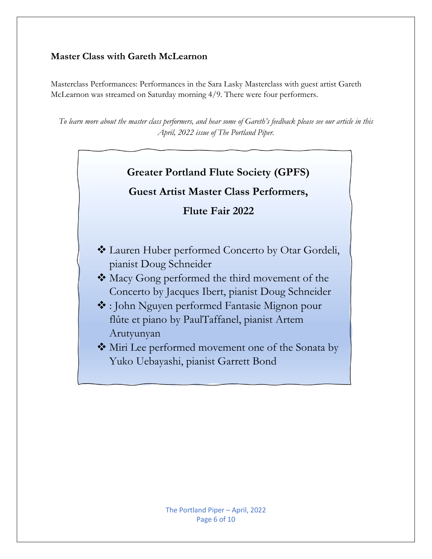### **Master Class with Gareth McLearnon**

Masterclass Performances: Performances in the Sara Lasky Masterclass with guest artist Gareth McLearnon was streamed on Saturday morning 4/9. There were four performers.

*To learn more about the master class performers, and hear some of Gareth's feedback please see our article in this April, 2022 issue of The Portland Piper.*

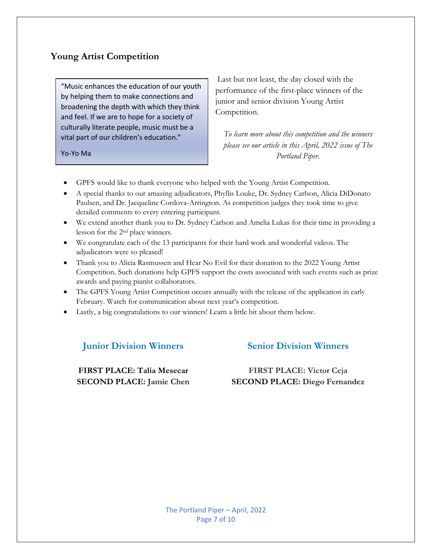### **Young Artist Competition**

"Music enhances the education of our youth by helping them to make connections and broadening the depth with which they think and feel. If we are to hope for a society of culturally literate people, music must be a vital part of our children's education."

Yo-Yo Ma

Last but not least, the day closed with the performance of the first-place winners of the junior and senior division Young Artist Competition.

*To learn more about this competition and the winners please see our article in this April, 2022 issue of The Portland Piper.*

- GPFS would like to thank everyone who helped with the Young Artist Competition.
- A special thanks to our amazing adjudicators, Phyllis Louke, Dr. Sydney Carlson, Alicia DiDonato Paulsen, and Dr. Jacqueline Cordova-Arrington. As competition judges they took time to give detailed comments to every entering participant.
- We extend another thank you to Dr. Sydney Carlson and Amelia Lukas for their time in providing a lesson for the 2nd place winners.
- We congratulate each of the 13 participants for their hard work and wonderful videos. The adjudicators were so pleased!
- Thank you to Alicia Rasmussen and Hear No Evil for their donation to the 2022 Young Artist Competition. Such donations help GPFS support the costs associated with such events such as prize awards and paying pianist collaborators.
- The GPFS Young Artist Competition occurs annually with the release of the application in early February. Watch for communication about next year's competition.
- Lastly, a big congratulations to our winners! Learn a little bit about them below.

### **Junior Division Winners**

**FIRST PLACE: Talia Mesecar SECOND PLACE: Jamie Chen**

#### **Senior Division Winners**

#### **FIRST PLACE: Victor Ceja SECOND PLACE: Diego Fernandez**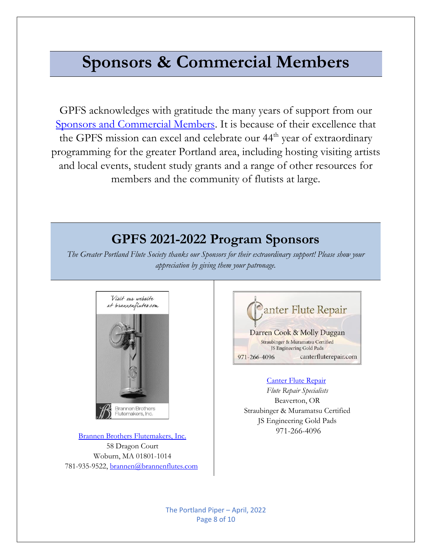# **Sponsors & Commercial Members**

GPFS acknowledges with gratitude the many years of support from our [Sponsors and Commercial Members.](https://gpfs.org/Commercial-Membership) It is because of their excellence that the GPFS mission can excel and celebrate our 44<sup>th</sup> year of extraordinary programming for the greater Portland area, including hosting visiting artists and local events, student study grants and a range of other resources for members and the community of flutists at large.

# **GPFS 2021-2022 Program Sponsors**

*The Greater Portland Flute Society thanks our Sponsors for their extraordinary support! Please show your appreciation by giving them your patronage.*



[Brannen Brothers Flutemakers, Inc.](https://www.brannenflutes.com/) 58 Dragon Court Woburn, MA 01801-1014 781-935-9522[, brannen@brannenflutes.com](mailto:brannen@brannenflutes.com)



#### [Canter Flute Repair](https://www.canterfluterepair.com/)

*Flute Repair Specialists* Beaverton, OR Straubinger & Muramatsu Certified JS Engineering Gold Pads 971-266-4096

The Portland Piper – April, 2022 Page 8 of 10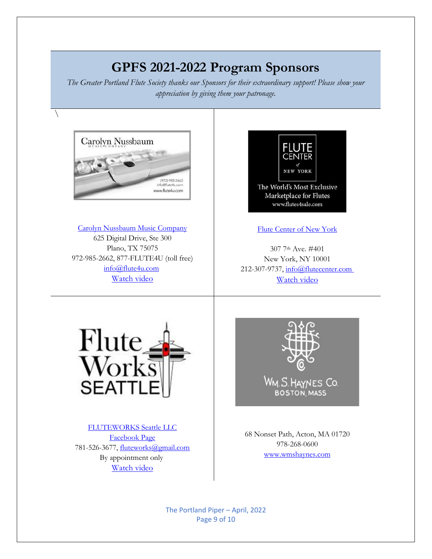# **GPFS 2021-2022 Program Sponsors**

*The Greater Portland Flute Society thanks our Sponsors for their extraordinary support! Please show your appreciation by giving them your patronage.*

 $\setminus$ 



[www.wmshaynes.com](https://d.docs.live.net/b7076dfbb4084dbc/Documents/www.wmshaynes.com)

The Portland Piper – April, 2022 Page 9 of 10

By appointment only [Watch video](https://youtu.be/BgWCvqB92CU)